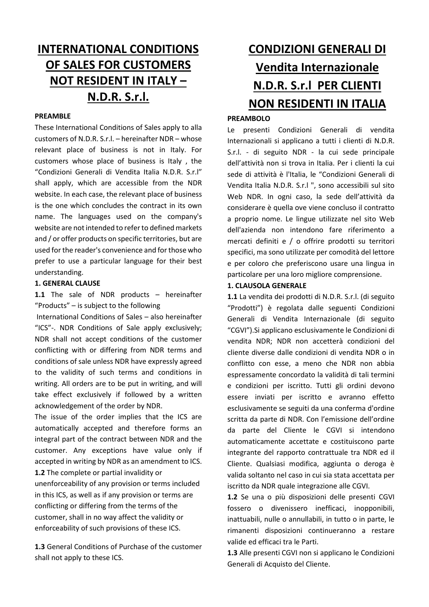# **INTERNATIONAL CONDITIONS OF SALES FOR CUSTOMERS NOT RESIDENT IN ITALY – N.D.R. S.r.l.**

#### **PREAMBLE**

These International Conditions of Sales apply to alla customers of N.D.R. S.r.l. – hereinafter NDR – whose relevant place of business is not in Italy. For customers whose place of business is Italy , the "Condizioni Generali di Vendita Italia N.D.R. S.r.l" shall apply, which are accessible from the NDR website. In each case, the relevant place of business is the one which concludes the contract in its own name. The languages used on the company's website are not intended to refer to defined markets and / or offer products on specific territories, but are used for the reader's convenience and for those who prefer to use a particular language for their best understanding.

#### **1. GENERAL CLAUSE**

**1.1** The sale of NDR products – hereinafter "Products" – is subject to the following

 International Conditions of Sales – also hereinafter "ICS"-. NDR Conditions of Sale apply exclusively; NDR shall not accept conditions of the customer conflicting with or differing from NDR terms and conditions of sale unless NDR have expressly agreed to the validity of such terms and conditions in writing. All orders are to be put in writing, and will take effect exclusively if followed by a written acknowledgement of the order by NDR.

The issue of the order implies that the ICS are automatically accepted and therefore forms an integral part of the contract between NDR and the customer. Any exceptions have value only if accepted in writing by NDR as an amendment to ICS. **1.2** The complete or partial invalidity or unenforceability of any provision or terms included in this ICS, as well as if any provision or terms are conflicting or differing from the terms of the customer, shall in no way affect the validity or enforceability of such provisions of these ICS.

**1.3** General Conditions of Purchase of the customer shall not apply to these ICS.

# **CONDIZIONI GENERALI DI Vendita Internazionale N.D.R. S.r.l PER CLIENTI NON RESIDENTI IN ITALIA**

#### **PREAMBOLO**

Le presenti Condizioni Generali di vendita Internazionali si applicano a tutti i clienti di N.D.R. S.r.l. - di seguito NDR - la cui sede principale dell'attività non si trova in Italia. Per i clienti la cui sede di attività è l'Italia, le "Condizioni Generali di Vendita Italia N.D.R. S.r.l ", sono accessibili sul sito Web NDR. In ogni caso, la sede dell'attività da considerare è quella ove viene concluso il contratto a proprio nome. Le lingue utilizzate nel sito Web dell'azienda non intendono fare riferimento a mercati definiti e / o offrire prodotti su territori specifici, ma sono utilizzate per comodità del lettore e per coloro che preferiscono usare una lingua in particolare per una loro migliore comprensione.

#### **1. CLAUSOLA GENERALE**

**1.1** La vendita dei prodotti di N.D.R. S.r.l. (di seguito "Prodotti") è regolata dalle seguenti Condizioni Generali di Vendita Internazionale (di seguito "CGVI").Si applicano esclusivamente le Condizioni di vendita NDR; NDR non accetterà condizioni del cliente diverse dalle condizioni di vendita NDR o in conflitto con esse, a meno che NDR non abbia espressamente concordato la validità di tali termini e condizioni per iscritto. Tutti gli ordini devono essere inviati per iscritto e avranno effetto esclusivamente se seguiti da una conferma d'ordine scritta da parte di NDR. Con l'emissione dell'ordine da parte del Cliente le CGVI si intendono automaticamente accettate e costituiscono parte integrante del rapporto contrattuale tra NDR ed il Cliente. Qualsiasi modifica, aggiunta o deroga è valida soltanto nel caso in cui sia stata accettata per iscritto da NDR quale integrazione alle CGVI.

**1.2** Se una o più disposizioni delle presenti CGVI fossero o divenissero inefficaci, inopponibili, inattuabili, nulle o annullabili, in tutto o in parte, le rimanenti disposizioni continueranno a restare valide ed efficaci tra le Parti.

**1.3** Alle presenti CGVI non si applicano le Condizioni Generali di Acquisto del Cliente.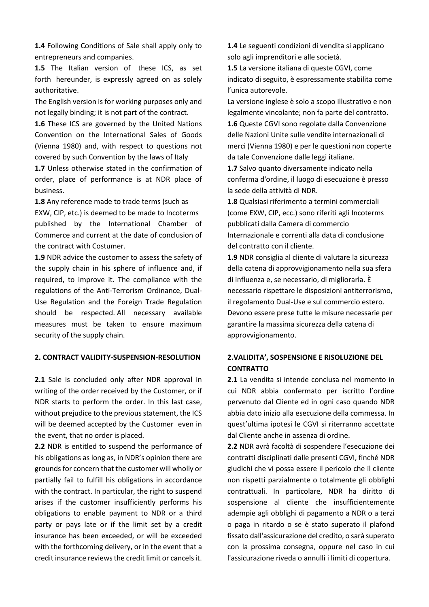**1.4** Following Conditions of Sale shall apply only to entrepreneurs and companies.

**1.5** The Italian version of these ICS, as set forth hereunder, is expressly agreed on as solely authoritative.

The English version is for working purposes only and not legally binding; it is not part of the contract.

**1.6** These ICS are governed by the United Nations Convention on the International Sales of Goods (Vienna 1980) and, with respect to questions not covered by such Convention by the laws of Italy

**1.7** Unless otherwise stated in the confirmation of order, place of performance is at NDR place of business.

**1.8** Any reference made to trade terms (such as EXW, CIP, etc.) is deemed to be made to Incoterms published by the International Chamber of Commerce and current at the date of conclusion of the contract with Costumer.

**1.9** NDR advice the customer to assess the safety of the supply chain in his sphere of influence and, if required, to improve it. The compliance with the regulations of the Anti-Terrorism Ordinance, Dual-Use Regulation and the Foreign Trade Regulation should be respected. All necessary available measures must be taken to ensure maximum security of the supply chain.

#### **2. CONTRACT VALIDITY-SUSPENSION-RESOLUTION**

2.1 Sale is concluded only after NDR approval in writing of the order received by the Customer, or if NDR starts to perform the order. In this last case, without prejudice to the previous statement, the ICS will be deemed accepted by the Customer even in the event, that no order is placed.

**2.2** NDR is entitled to suspend the performance of his obligations as long as, in NDR's opinion there are grounds for concern that the customer will wholly or partially fail to fulfill his obligations in accordance with the contract. In particular, the right to suspend arises if the customer insufficiently performs his obligations to enable payment to NDR or a third party or pays late or if the limit set by a credit insurance has been exceeded, or will be exceeded with the forthcoming delivery, or in the event that a credit insurance reviews the credit limit or cancels it.

**1.4** Le seguenti condizioni di vendita si applicano solo agli imprenditori e alle società.

**1.5** La versione italiana di queste CGVI, come indicato di seguito, è espressamente stabilita come l'unica autorevole.

La versione inglese è solo a scopo illustrativo e non legalmente vincolante; non fa parte del contratto. **1.6** Queste CGVI sono regolate dalla Convenzione delle Nazioni Unite sulle vendite internazionali di merci (Vienna 1980) e per le questioni non coperte da tale Convenzione dalle leggi italiane.

**1.7** Salvo quanto diversamente indicato nella conferma d'ordine, il luogo di esecuzione è presso la sede della attività di NDR.

**1.8** Qualsiasi riferimento a termini commerciali (come EXW, CIP, ecc.) sono riferiti agli Incoterms pubblicati dalla Camera di commercio Internazionale e correnti alla data di conclusione del contratto con il cliente.

**1.9** NDR consiglia al cliente di valutare la sicurezza della catena di approvvigionamento nella sua sfera di influenza e, se necessario, di migliorarla. È necessario rispettare le disposizioni antiterrorismo, il regolamento Dual-Use e sul commercio estero. Devono essere prese tutte le misure necessarie per garantire la massima sicurezza della catena di approvvigionamento.

# **2.VALIDITA', SOSPENSIONE E RISOLUZIONE DEL CONTRATTO**

**2.1** La vendita si intende conclusa nel momento in cui NDR abbia confermato per iscritto l'ordine pervenuto dal Cliente ed in ogni caso quando NDR abbia dato inizio alla esecuzione della commessa. In quest'ultima ipotesi le CGVI si riterranno accettate dal Cliente anche in assenza di ordine.

**2.2** NDR avrà facoltà di sospendere l'esecuzione dei contratti disciplinati dalle presenti CGVI, finché NDR giudichi che vi possa essere il pericolo che il cliente non rispetti parzialmente o totalmente gli obblighi contrattuali. In particolare, NDR ha diritto di sospensione al cliente che insufficientemente adempie agli obblighi di pagamento a NDR o a terzi o paga in ritardo o se è stato superato il plafond fissato dall'assicurazione del credito, o sarà superato con la prossima consegna, oppure nel caso in cui l'assicurazione riveda o annulli i limiti di copertura.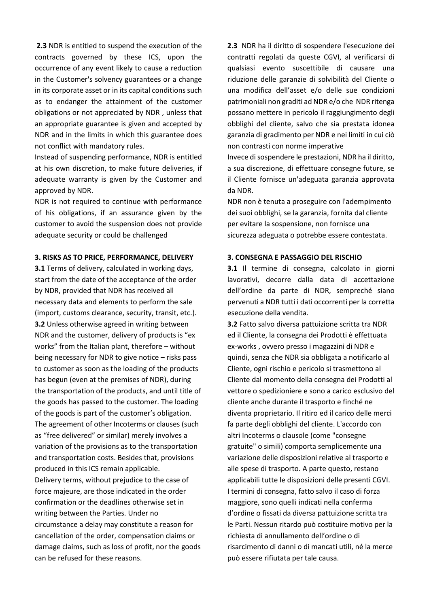**2.3** NDR is entitled to suspend the execution of the contracts governed by these ICS, upon the occurrence of any event likely to cause a reduction in the Customer's solvency guarantees or a change in its corporate asset or in its capital conditions such as to endanger the attainment of the customer obligations or not appreciated by NDR , unless that an appropriate guarantee is given and accepted by NDR and in the limits in which this guarantee does not conflict with mandatory rules.

Instead of suspending performance, NDR is entitled at his own discretion, to make future deliveries, if adequate warranty is given by the Customer and approved by NDR.

NDR is not required to continue with performance of his obligations, if an assurance given by the customer to avoid the suspension does not provide adequate security or could be challenged

#### **3. RISKS AS TO PRICE, PERFORMANCE, DELIVERY**

**3.1** Terms of delivery, calculated in working days, start from the date of the acceptance of the order by NDR, provided that NDR has received all necessary data and elements to perform the sale (import, customs clearance, security, transit, etc.). **3.2** Unless otherwise agreed in writing between NDR and the customer, delivery of products is "ex works" from the Italian plant, therefore – without being necessary for NDR to give notice – risks pass to customer as soon as the loading of the products has begun (even at the premises of NDR), during the transportation of the products, and until title of the goods has passed to the customer. The loading of the goods is part of the customer's obligation. The agreement of other Incoterms or clauses (such as "free delivered" or similar) merely involves a variation of the provisions as to the transportation and transportation costs. Besides that, provisions produced in this ICS remain applicable. Delivery terms, without prejudice to the case of force majeure, are those indicated in the order confirmation or the deadlines otherwise set in writing between the Parties. Under no circumstance a delay may constitute a reason for cancellation of the order, compensation claims or damage claims, such as loss of profit, nor the goods can be refused for these reasons.

**2.3** NDR ha il diritto di sospendere l'esecuzione dei contratti regolati da queste CGVI, al verificarsi di qualsiasi evento suscettibile di causare una riduzione delle garanzie di solvibilità del Cliente o una modifica dell'asset e/o delle sue condizioni patrimoniali non graditi ad NDR e/o che NDR ritenga possano mettere in pericolo il raggiungimento degli obblighi del cliente, salvo che sia prestata idonea garanzia di gradimento per NDR e nei limiti in cui ciò non contrasti con norme imperative

Invece di sospendere le prestazioni, NDR ha il diritto, a sua discrezione, di effettuare consegne future, se il Cliente fornisce un'adeguata garanzia approvata da NDR.

NDR non è tenuta a proseguire con l'adempimento dei suoi obblighi, se la garanzia, fornita dal cliente per evitare la sospensione, non fornisce una sicurezza adeguata o potrebbe essere contestata.

#### **3. CONSEGNA E PASSAGGIO DEL RISCHIO**

**3.1** Il termine di consegna, calcolato in giorni lavorativi, decorre dalla data di accettazione dell'ordine da parte di NDR, sempreché siano pervenuti a NDR tutti i dati occorrenti per la corretta esecuzione della vendita.

**3.2** Fatto salvo diversa pattuizione scritta tra NDR ed il Cliente, la consegna dei Prodotti è effettuata ex-works , ovvero presso i magazzini di NDR e quindi, senza che NDR sia obbligata a notificarlo al Cliente, ogni rischio e pericolo si trasmettono al Cliente dal momento della consegna dei Prodotti al vettore o spedizioniere e sono a carico esclusivo del cliente anche durante il trasporto e finché ne diventa proprietario. Il ritiro ed il carico delle merci fa parte degli obblighi del cliente. L'accordo con altri Incoterms o clausole (come "consegne gratuite" o simili) comporta semplicemente una variazione delle disposizioni relative al trasporto e alle spese di trasporto. A parte questo, restano applicabili tutte le disposizioni delle presenti CGVI. I termini di consegna, fatto salvo il caso di forza maggiore, sono quelli indicati nella conferma d'ordine o fissati da diversa pattuizione scritta tra le Parti. Nessun ritardo può costituire motivo per la richiesta di annullamento dell'ordine o di risarcimento di danni o di mancati utili, né la merce può essere rifiutata per tale causa.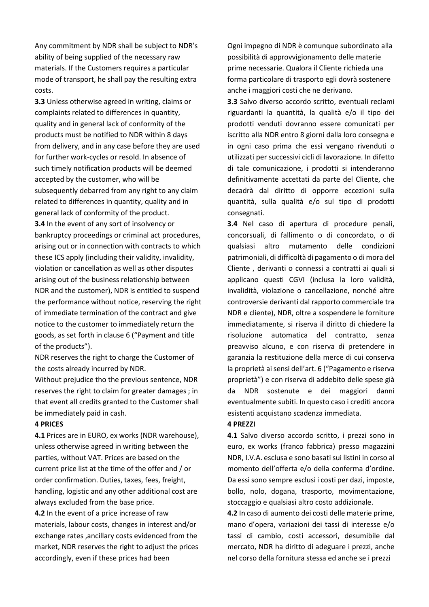Any commitment by NDR shall be subject to NDR's ability of being supplied of the necessary raw materials. If the Customers requires a particular mode of transport, he shall pay the resulting extra costs.

**3.3** Unless otherwise agreed in writing, claims or complaints related to differences in quantity, quality and in general lack of conformity of the products must be notified to NDR within 8 days from delivery, and in any case before they are used for further work-cycles or resold. In absence of such timely notification products will be deemed accepted by the customer, who will be subsequently debarred from any right to any claim related to differences in quantity, quality and in general lack of conformity of the product. **3.4** In the event of any sort of insolvency or bankruptcy proceedings or criminal act procedures, arising out or in connection with contracts to which these ICS apply (including their validity, invalidity, violation or cancellation as well as other disputes arising out of the business relationship between NDR and the customer), NDR is entitled to suspend the performance without notice, reserving the right of immediate termination of the contract and give notice to the customer to immediately return the goods, as set forth in clause 6 ("Payment and title of the products").

NDR reserves the right to charge the Customer of the costs already incurred by NDR.

Without prejudice tho the previous sentence, NDR reserves the right to claim for greater damages ; in that event all credits granted to the Customer shall be immediately paid in cash.

#### **4 PRICES**

**4.1** Prices are in EURO, ex works (NDR warehouse), unless otherwise agreed in writing between the parties, without VAT. Prices are based on the current price list at the time of the offer and / or order confirmation. Duties, taxes, fees, freight, handling, logistic and any other additional cost are always excluded from the base price.

**4.2** In the event of a price increase of raw materials, labour costs, changes in interest and/or exchange rates ,ancillary costs evidenced from the market, NDR reserves the right to adjust the prices accordingly, even if these prices had been

Ogni impegno di NDR è comunque subordinato alla possibilità di approvvigionamento delle materie prime necessarie. Qualora il Cliente richieda una forma particolare di trasporto egli dovrà sostenere anche i maggiori costi che ne derivano.

**3.3** Salvo diverso accordo scritto, eventuali reclami riguardanti la quantità, la qualità e/o il tipo dei prodotti venduti dovranno essere comunicati per iscritto alla NDR entro 8 giorni dalla loro consegna e in ogni caso prima che essi vengano rivenduti o utilizzati per successivi cicli di lavorazione. In difetto di tale comunicazione, i prodotti si intenderanno definitivamente accettati da parte del Cliente, che decadrà dal diritto di opporre eccezioni sulla quantità, sulla qualità e/o sul tipo di prodotti consegnati.

**3.4** Nel caso di apertura di procedure penali, concorsuali, di fallimento o di concordato, o di qualsiasi altro mutamento delle condizioni patrimoniali, di difficoltà di pagamento o di mora del Cliente , derivanti o connessi a contratti ai quali si applicano questi CGVI (inclusa la loro validità, invalidità, violazione o cancellazione, nonché altre controversie derivanti dal rapporto commerciale tra NDR e cliente), NDR, oltre a sospendere le forniture immediatamente, si riserva il diritto di chiedere la risoluzione automatica del contratto, senza preavviso alcuno, e con riserva di pretendere in garanzia la restituzione della merce di cui conserva la proprietà ai sensi dell'art. 6 ("Pagamento e riserva proprietà") e con riserva di addebito delle spese già da NDR sostenute e dei maggiori danni eventualmente subiti. In questo caso i crediti ancora esistenti acquistano scadenza immediata.

#### **4 PREZZI**

**4.1** Salvo diverso accordo scritto, i prezzi sono in euro, ex works (franco fabbrica) presso magazzini NDR, I.V.A. esclusa e sono basati sui listini in corso al momento dell'offerta e/o della conferma d'ordine. Da essi sono sempre esclusi i costi per dazi, imposte, bollo, nolo, dogana, trasporto, movimentazione, stoccaggio e qualsiasi altro costo addizionale.

**4.2** In caso di aumento dei costi delle materie prime, mano d'opera, variazioni dei tassi di interesse e/o tassi di cambio, costi accessori, desumibile dal mercato, NDR ha diritto di adeguare i prezzi, anche nel corso della fornitura stessa ed anche se i prezzi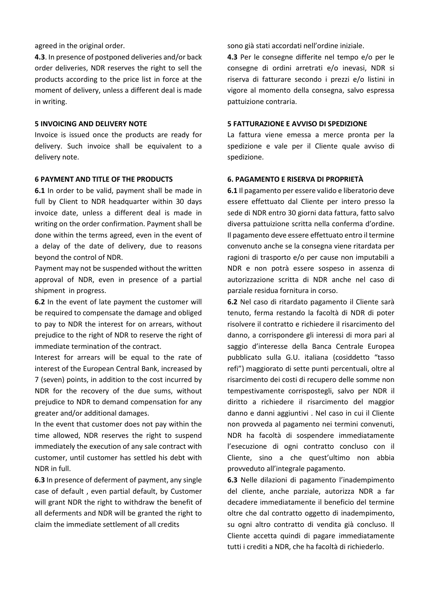agreed in the original order.

**4.3**. In presence of postponed deliveries and/or back order deliveries, NDR reserves the right to sell the products according to the price list in force at the moment of delivery, unless a different deal is made in writing.

#### **5 INVOICING AND DELIVERY NOTE**

Invoice is issued once the products are ready for delivery. Such invoice shall be equivalent to a delivery note.

#### **6 PAYMENT AND TITLE OF THE PRODUCTS**

**6.1** In order to be valid, payment shall be made in full by Client to NDR headquarter within 30 days invoice date, unless a different deal is made in writing on the order confirmation. Payment shall be done within the terms agreed, even in the event of a delay of the date of delivery, due to reasons beyond the control of NDR.

Payment may not be suspended without the written approval of NDR, even in presence of a partial shipment in progress.

**6.2** In the event of late payment the customer will be required to compensate the damage and obliged to pay to NDR the interest for on arrears, without prejudice to the right of NDR to reserve the right of immediate termination of the contract.

Interest for arrears will be equal to the rate of interest of the European Central Bank, increased by 7 (seven) points, in addition to the cost incurred by NDR for the recovery of the due sums, without prejudice to NDR to demand compensation for any greater and/or additional damages.

In the event that customer does not pay within the time allowed, NDR reserves the right to suspend immediately the execution of any sale contract with customer, until customer has settled his debt with NDR in full.

**6.3** In presence of deferment of payment, any single case of default , even partial default, by Customer will grant NDR the right to withdraw the benefit of all deferments and NDR will be granted the right to claim the immediate settlement of all credits

sono già stati accordati nell'ordine iniziale.

**4.3** Per le consegne differite nel tempo e/o per le consegne di ordini arretrati e/o inevasi, NDR si riserva di fatturare secondo i prezzi e/o listini in vigore al momento della consegna, salvo espressa pattuizione contraria.

#### **5 FATTURAZIONE E AVVISO DI SPEDIZIONE**

La fattura viene emessa a merce pronta per la spedizione e vale per il Cliente quale avviso di spedizione.

#### **6. PAGAMENTO E RISERVA DI PROPRIETÀ**

**6.1** Il pagamento per essere valido e liberatorio deve essere effettuato dal Cliente per intero presso la sede di NDR entro 30 giorni data fattura, fatto salvo diversa pattuizione scritta nella conferma d'ordine. Il pagamento deve essere effettuato entro il termine convenuto anche se la consegna viene ritardata per ragioni di trasporto e/o per cause non imputabili a NDR e non potrà essere sospeso in assenza di autorizzazione scritta di NDR anche nel caso di parziale residua fornitura in corso.

**6.2** Nel caso di ritardato pagamento il Cliente sarà tenuto, ferma restando la facoltà di NDR di poter risolvere il contratto e richiedere il risarcimento del danno, a corrispondere gli interessi di mora pari al saggio d'interesse della Banca Centrale Europea pubblicato sulla G.U. italiana (cosiddetto "tasso refi") maggiorato di sette punti percentuali, oltre al risarcimento dei costi di recupero delle somme non tempestivamente corrispostegli, salvo per NDR il diritto a richiedere il risarcimento del maggior danno e danni aggiuntivi . Nel caso in cui il Cliente non provveda al pagamento nei termini convenuti, NDR ha facoltà di sospendere immediatamente l'esecuzione di ogni contratto concluso con il Cliente, sino a che quest'ultimo non abbia provveduto all'integrale pagamento.

**6.3** Nelle dilazioni di pagamento l'inadempimento del cliente, anche parziale, autorizza NDR a far decadere immediatamente il beneficio del termine oltre che dal contratto oggetto di inadempimento, su ogni altro contratto di vendita già concluso. Il Cliente accetta quindi di pagare immediatamente tutti i crediti a NDR, che ha facoltà di richiederlo.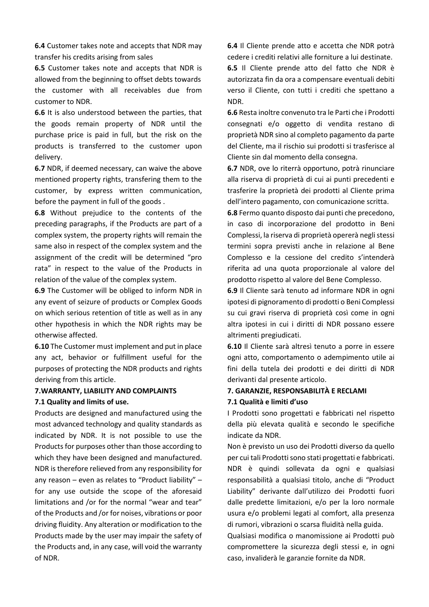**6.4** Customer takes note and accepts that NDR may transfer his credits arising from sales

**6.5** Customer takes note and accepts that NDR is allowed from the beginning to offset debts towards the customer with all receivables due from customer to NDR.

**6.6** It is also understood between the parties, that the goods remain property of NDR until the purchase price is paid in full, but the risk on the products is transferred to the customer upon delivery.

**6.7** NDR, if deemed necessary, can waive the above mentioned property rights, transfering them to the customer, by express written communication, before the payment in full of the goods .

**6.8** Without prejudice to the contents of the preceding paragraphs, if the Products are part of a complex system, the property rights will remain the same also in respect of the complex system and the assignment of the credit will be determined "pro rata" in respect to the value of the Products in relation of the value of the complex system.

**6.9** The Customer will be obliged to inform NDR in any event of seizure of products or Complex Goods on which serious retention of title as well as in any other hypothesis in which the NDR rights may be otherwise affected.

**6.10** The Customer must implement and put in place any act, behavior or fulfillment useful for the purposes of protecting the NDR products and rights deriving from this article.

# **7.WARRANTY, LIABILITY AND COMPLAINTS**

#### **7.1 Quality and limits of use.**

Products are designed and manufactured using the most advanced technology and quality standards as indicated by NDR. It is not possible to use the Products for purposes other than those according to which they have been designed and manufactured. NDR is therefore relieved from any responsibility for any reason – even as relates to "Product liability" – for any use outside the scope of the aforesaid limitations and /or for the normal "wear and tear" of the Products and /or for noises, vibrations or poor driving fluidity. Any alteration or modification to the Products made by the user may impair the safety of the Products and, in any case, will void the warranty of NDR.

**6.4** Il Cliente prende atto e accetta che NDR potrà cedere i crediti relativi alle forniture a lui destinate.

**6.5** Il Cliente prende atto del fatto che NDR è autorizzata fin da ora a compensare eventuali debiti verso il Cliente, con tutti i crediti che spettano a NDR.

**6.6** Resta inoltre convenuto tra le Parti che i Prodotti consegnati e/o oggetto di vendita restano di proprietà NDR sino al completo pagamento da parte del Cliente, ma il rischio sui prodotti si trasferisce al Cliente sin dal momento della consegna.

**6.7** NDR, ove lo riterrà opportuno, potrà rinunciare alla riserva di proprietà di cui ai punti precedenti e trasferire la proprietà dei prodotti al Cliente prima dell'intero pagamento, con comunicazione scritta.

**6.8** Fermo quanto disposto dai punti che precedono, in caso di incorporazione del prodotto in Beni Complessi, la riserva di proprietà opererà negli stessi termini sopra previsti anche in relazione al Bene Complesso e la cessione del credito s'intenderà riferita ad una quota proporzionale al valore del prodotto rispetto al valore del Bene Complesso.

**6.9** Il Cliente sarà tenuto ad informare NDR in ogni ipotesi di pignoramento di prodotti o Beni Complessi su cui gravi riserva di proprietà così come in ogni altra ipotesi in cui i diritti di NDR possano essere altrimenti pregiudicati.

**6.10** Il Cliente sarà altresì tenuto a porre in essere ogni atto, comportamento o adempimento utile ai fini della tutela dei prodotti e dei diritti di NDR derivanti dal presente articolo.

# **7. GARANZIE, RESPONSABILITÀ E RECLAMI 7.1 Qualità e limiti d'uso**

I Prodotti sono progettati e fabbricati nel rispetto della più elevata qualità e secondo le specifiche indicate da NDR.

Non è previsto un uso dei Prodotti diverso da quello per cui tali Prodotti sono stati progettati e fabbricati. NDR è quindi sollevata da ogni e qualsiasi responsabilità a qualsiasi titolo, anche di "Product Liability" derivante dall'utilizzo dei Prodotti fuori dalle predette limitazioni, e/o per la loro normale usura e/o problemi legati al comfort, alla presenza di rumori, vibrazioni o scarsa fluidità nella guida.

Qualsiasi modifica o manomissione ai Prodotti può compromettere la sicurezza degli stessi e, in ogni caso, invaliderà le garanzie fornite da NDR.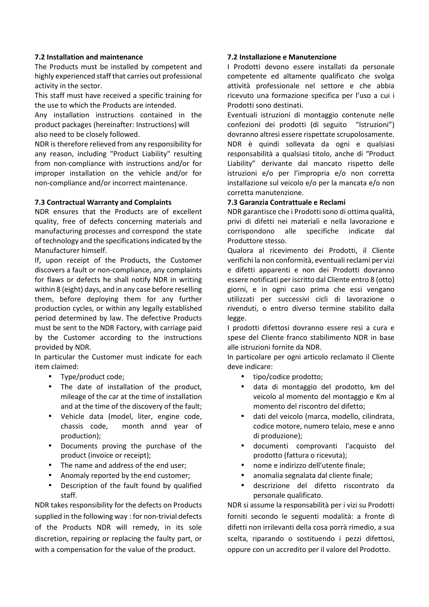#### **7.2 Installation and maintenance**

The Products must be installed by competent and highly experienced staff that carries out professional activity in the sector.

This staff must have received a specific training for the use to which the Products are intended.

Any installation instructions contained in the product packages (hereinafter: Instructions) will also need to be closely followed.

NDR is therefore relieved from any responsibility for any reason, including "Product Liability" resulting from non-compliance with instructions and/or for improper installation on the vehicle and/or for non-compliance and/or incorrect maintenance.

# **7.3 Contractual Warranty and Complaints**

NDR ensures that the Products are of excellent quality, free of defects concerning materials and manufacturing processes and correspond the state of technology and the specifications indicated by the Manufacturer himself.

If, upon receipt of the Products, the Customer discovers a fault or non-compliance, any complaints for flaws or defects he shall notify NDR in writing within 8 (eight) days, and in any case before reselling them, before deploying them for any further production cycles, or within any legally established period determined by law. The defective Products must be sent to the NDR Factory, with carriage paid by the Customer according to the instructions provided by NDR.

In particular the Customer must indicate for each item claimed:

- Type/product code;
- The date of installation of the product, mileage of the car at the time of installation and at the time of the discovery of the fault;
- Vehicle data (model, liter, engine code, chassis code, month annd year of production);
- Documents proving the purchase of the product (invoice or receipt);
- The name and address of the end user;
- Anomaly reported by the end customer;
- Description of the fault found by qualified staff.

NDR takes responsibility for the defects on Products supplied in the following way : for non-trivial defects of the Products NDR will remedy, in its sole discretion, repairing or replacing the faulty part, or with a compensation for the value of the product.

#### **7.2 Installazione e Manutenzione**

I Prodotti devono essere installati da personale competente ed altamente qualificato che svolga attività professionale nel settore e che abbia ricevuto una formazione specifica per l'uso a cui i Prodotti sono destinati.

Eventuali istruzioni di montaggio contenute nelle confezioni dei prodotti (di seguito "Istruzioni") dovranno altresì essere rispettate scrupolosamente. NDR è quindi sollevata da ogni e qualsiasi responsabilità a qualsiasi titolo, anche di "Product Liability" derivante dal mancato rispetto delle istruzioni e/o per l'impropria e/o non corretta installazione sul veicolo e/o per la mancata e/o non corretta manutenzione.

# **7.3 Garanzia Contrattuale e Reclami**

NDR garantisce che i Prodotti sono di ottima qualità, privi di difetti nei materiali e nella lavorazione e corrispondono alle specifiche indicate dal Produttore stesso.

Qualora al ricevimento dei Prodotti, il Cliente verifichi la non conformità, eventuali reclami per vizi e difetti apparenti e non dei Prodotti dovranno essere notificati per iscritto dal Cliente entro 8 (otto) giorni, e in ogni caso prima che essi vengano utilizzati per successivi cicli di lavorazione o rivenduti, o entro diverso termine stabilito dalla legge.

I prodotti difettosi dovranno essere resi a cura e spese del Cliente franco stabilimento NDR in base alle istruzioni fornite da NDR.

In particolare per ogni articolo reclamato il Cliente deve indicare:

- tipo/codice prodotto;
- data di montaggio del prodotto, km del veicolo al momento del montaggio e Km al momento del riscontro del difetto;
- dati del veicolo (marca, modello, cilindrata, codice motore, numero telaio, mese e anno di produzione);
- documenti comprovanti l'acquisto del prodotto (fattura o ricevuta);
- nome e indirizzo dell'utente finale;
- anomalia segnalata dal cliente finale;
- descrizione del difetto riscontrato da personale qualificato.

NDR si assume la responsabilità per i vizi su Prodotti forniti secondo le seguenti modalità: a fronte di difetti non irrilevanti della cosa porrà rimedio, a sua scelta, riparando o sostituendo i pezzi difettosi, oppure con un accredito per il valore del Prodotto.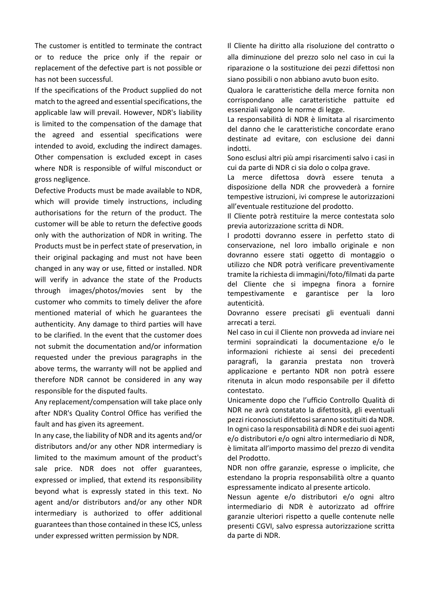The customer is entitled to terminate the contract or to reduce the price only if the repair or replacement of the defective part is not possible or has not been successful.

If the specifications of the Product supplied do not match to the agreed and essential specifications, the applicable law will prevail. However, NDR's liability is limited to the compensation of the damage that the agreed and essential specifications were intended to avoid, excluding the indirect damages. Other compensation is excluded except in cases where NDR is responsible of wilful misconduct or gross negligence.

Defective Products must be made available to NDR, which will provide timely instructions, including authorisations for the return of the product. The customer will be able to return the defective goods only with the authorization of NDR in writing. The Products must be in perfect state of preservation, in their original packaging and must not have been changed in any way or use, fitted or installed. NDR will verify in advance the state of the Products through images/photos/movies sent by the customer who commits to timely deliver the afore mentioned material of which he guarantees the authenticity. Any damage to third parties will have to be clarified. In the event that the customer does not submit the documentation and/or information requested under the previous paragraphs in the above terms, the warranty will not be applied and therefore NDR cannot be considered in any way responsible for the disputed faults.

Any replacement/compensation will take place only after NDR's Quality Control Office has verified the fault and has given its agreement.

In any case, the liability of NDR and its agents and/or distributors and/or any other NDR intermediary is limited to the maximum amount of the product's sale price. NDR does not offer guarantees, expressed or implied, that extend its responsibility beyond what is expressly stated in this text. No agent and/or distributors and/or any other NDR intermediary is authorized to offer additional guarantees than those contained in these ICS, unless under expressed written permission by NDR.

Il Cliente ha diritto alla risoluzione del contratto o alla diminuzione del prezzo solo nel caso in cui la riparazione o la sostituzione dei pezzi difettosi non siano possibili o non abbiano avuto buon esito.

Qualora le caratteristiche della merce fornita non corrispondano alle caratteristiche pattuite ed essenziali valgono le norme di legge.

La responsabilità di NDR è limitata al risarcimento del danno che le caratteristiche concordate erano destinate ad evitare, con esclusione dei danni indotti.

Sono esclusi altri più ampi risarcimenti salvo i casi in cui da parte di NDR ci sia dolo o colpa grave.

La merce difettosa dovrà essere tenuta a disposizione della NDR che provvederà a fornire tempestive istruzioni, ivi comprese le autorizzazioni all'eventuale restituzione del prodotto.

Il Cliente potrà restituire la merce contestata solo previa autorizzazione scritta di NDR.

I prodotti dovranno essere in perfetto stato di conservazione, nel loro imballo originale e non dovranno essere stati oggetto di montaggio o utilizzo che NDR potrà verificare preventivamente tramite la richiesta di immagini/foto/filmati da parte del Cliente che si impegna finora a fornire tempestivamente e garantisce per la loro autenticità.

Dovranno essere precisati gli eventuali danni arrecati a terzi.

Nel caso in cui il Cliente non provveda ad inviare nei termini sopraindicati la documentazione e/o le informazioni richieste ai sensi dei precedenti paragrafi, la garanzia prestata non troverà applicazione e pertanto NDR non potrà essere ritenuta in alcun modo responsabile per il difetto contestato.

Unicamente dopo che l'ufficio Controllo Qualità di NDR ne avrà constatato la difettosità, gli eventuali pezzi riconosciuti difettosi saranno sostituiti da NDR. In ogni caso la responsabilità di NDR e dei suoi agenti e/o distributori e/o ogni altro intermediario di NDR, è limitata all'importo massimo del prezzo di vendita del Prodotto.

NDR non offre garanzie, espresse o implicite, che estendano la propria responsabilità oltre a quanto espressamente indicato al presente articolo.

Nessun agente e/o distributori e/o ogni altro intermediario di NDR è autorizzato ad offrire garanzie ulteriori rispetto a quelle contenute nelle presenti CGVI, salvo espressa autorizzazione scritta da parte di NDR.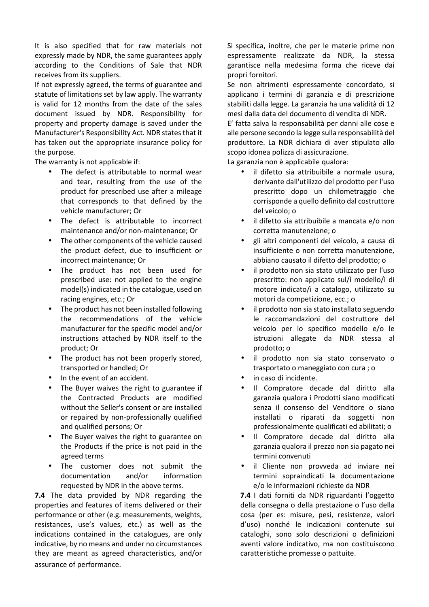It is also specified that for raw materials not expressly made by NDR, the same guarantees apply according to the Conditions of Sale that NDR receives from its suppliers.

If not expressly agreed, the terms of guarantee and statute of limitations set by law apply. The warranty is valid for 12 months from the date of the sales document issued by NDR. Responsibility for property and property damage is saved under the Manufacturer's Responsibility Act. NDR states that it has taken out the appropriate insurance policy for the purpose.

The warranty is not applicable if:

- The defect is attributable to normal wear and tear, resulting from the use of the product for prescribed use after a mileage that corresponds to that defined by the vehicle manufacturer; Or
- The defect is attributable to incorrect maintenance and/or non-maintenance; Or
- The other components of the vehicle caused the product defect, due to insufficient or incorrect maintenance; Or
- The product has not been used for prescribed use: not applied to the engine model(s) indicated in the catalogue, used on racing engines, etc.; Or
- The product has not been installed following the recommendations of the vehicle manufacturer for the specific model and/or instructions attached by NDR itself to the product; Or
- The product has not been properly stored, transported or handled; Or
- In the event of an accident.
- The Buyer waives the right to guarantee if the Contracted Products are modified without the Seller's consent or are installed or repaired by non-professionally qualified and qualified persons; Or
- The Buyer waives the right to guarantee on the Products if the price is not paid in the agreed terms
- The customer does not submit the documentation and/or information requested by NDR in the above terms.

**7.4** The data provided by NDR regarding the properties and features of items delivered or their performance or other (e.g. measurements, weights, resistances, use's values, etc.) as well as the indications contained in the catalogues, are only indicative, by no means and under no circumstances they are meant as agreed characteristics, and/or assurance of performance.

Si specifica, inoltre, che per le materie prime non espressamente realizzate da NDR, la stessa garantisce nella medesima forma che riceve dai propri fornitori.

Se non altrimenti espressamente concordato, si applicano i termini di garanzia e di prescrizione stabiliti dalla legge. La garanzia ha una validità di 12 mesi dalla data del documento di vendita di NDR.

E' fatta salva la responsabilità per danni alle cose e alle persone secondo la legge sulla responsabilità del produttore. La NDR dichiara di aver stipulato allo scopo idonea polizza di assicurazione.

La garanzia non è applicabile qualora:

- il difetto sia attribuibile a normale usura, derivante dall'utilizzo del prodotto per l'uso prescritto dopo un chilometraggio che corrisponde a quello definito dal costruttore del veicolo; o
- il difetto sia attribuibile a mancata e/o non corretta manutenzione; o
- gli altri componenti del veicolo, a causa di insufficiente o non corretta manutenzione, abbiano causato il difetto del prodotto; o
- il prodotto non sia stato utilizzato per l'uso prescritto: non applicato sul/i modello/i di motore indicato/i a catalogo, utilizzato su motori da competizione, ecc.; o
- il prodotto non sia stato installato seguendo le raccomandazioni del costruttore del veicolo per lo specifico modello e/o le istruzioni allegate da NDR stessa al prodotto; o
- il prodotto non sia stato conservato o trasportato o maneggiato con cura ; o
- in caso di incidente.
- Il Compratore decade dal diritto alla garanzia qualora i Prodotti siano modificati senza il consenso del Venditore o siano installati o riparati da soggetti non professionalmente qualificati ed abilitati; o
- Il Compratore decade dal diritto alla garanzia qualora il prezzo non sia pagato nei termini convenuti
- il Cliente non provveda ad inviare nei termini sopraindicati la documentazione e/o le informazioni richieste da NDR

**7.4** I dati forniti da NDR riguardanti l'oggetto della consegna o della prestazione o l'uso della cosa (per es: misure, pesi, resistenze, valori d'uso) nonché le indicazioni contenute sui cataloghi, sono solo descrizioni o definizioni aventi valore indicativo, ma non costituiscono caratteristiche promesse o pattuite.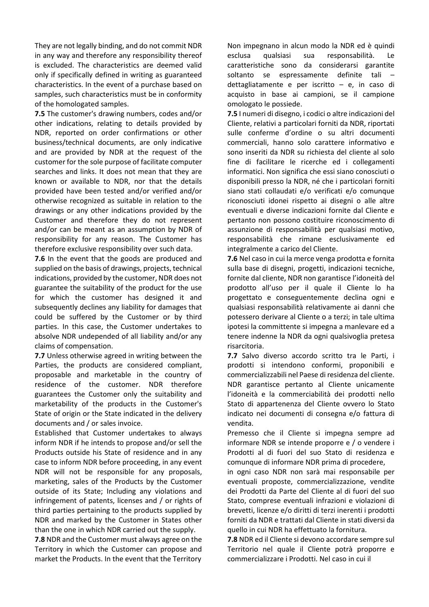They are not legally binding, and do not commit NDR in any way and therefore any responsibility thereof is excluded. The characteristics are deemed valid only if specifically defined in writing as guaranteed characteristics. In the event of a purchase based on samples, such characteristics must be in conformity of the homologated samples.

**7.5** The customer's drawing numbers, codes and/or other indications, relating to details provided by NDR, reported on order confirmations or other business/technical documents, are only indicative and are provided by NDR at the request of the customer for the sole purpose of facilitate computer searches and links. It does not mean that they are known or available to NDR, nor that the details provided have been tested and/or verified and/or otherwise recognized as suitable in relation to the drawings or any other indications provided by the Customer and therefore they do not represent and/or can be meant as an assumption by NDR of responsibility for any reason. The Customer has therefore exclusive responsibility over such data.

**7.6** In the event that the goods are produced and supplied on the basis of drawings, projects, technical indications, provided by the customer, NDR does not guarantee the suitability of the product for the use for which the customer has designed it and subsequently declines any liability for damages that could be suffered by the Customer or by third parties. In this case, the Customer undertakes to absolve NDR undepended of all liability and/or any claims of compensation.

**7.7** Unless otherwise agreed in writing between the Parties, the products are considered compliant, proposable and marketable in the country of residence of the customer. NDR therefore guarantees the Customer only the suitability and marketability of the products in the Customer's State of origin or the State indicated in the delivery documents and / or sales invoice.

Established that Customer undertakes to always inform NDR if he intends to propose and/or sell the Products outside his State of residence and in any case to inform NDR before proceeding, in any event NDR will not be responsible for any proposals, marketing, sales of the Products by the Customer outside of its State; Including any violations and infringement of patents, licenses and / or rights of third parties pertaining to the products supplied by NDR and marked by the Customer in States other than the one in which NDR carried out the supply.

**7.8** NDR and the Customer must always agree on the Territory in which the Customer can propose and market the Products. In the event that the Territory

Non impegnano in alcun modo la NDR ed è quindi esclusa qualsiasi sua responsabilità. Le caratteristiche sono da considerarsi garantite soltanto se espressamente definite tali – dettagliatamente e per iscritto – e, in caso di acquisto in base ai campioni, se il campione omologato le possiede.

**7.5** I numeri di disegno, i codici o altre indicazioni del Cliente, relativi a particolari forniti da NDR, riportati sulle conferme d'ordine o su altri documenti commerciali, hanno solo carattere informativo e sono inseriti da NDR su richiesta del cliente al solo fine di facilitare le ricerche ed i collegamenti informatici. Non significa che essi siano conosciuti o disponibili presso la NDR, né che i particolari forniti siano stati collaudati e/o verificati e/o comunque riconosciuti idonei rispetto ai disegni o alle altre eventuali e diverse indicazioni fornite dal Cliente e pertanto non possono costituire riconoscimento di assunzione di responsabilità per qualsiasi motivo, responsabilità che rimane esclusivamente ed integralmente a carico del Cliente.

**7.6** Nel caso in cui la merce venga prodotta e fornita sulla base di disegni, progetti, indicazioni tecniche, fornite dal cliente, NDR non garantisce l'idoneità del prodotto all'uso per il quale il Cliente lo ha progettato e conseguentemente declina ogni e qualsiasi responsabilità relativamente ai danni che potessero derivare al Cliente o a terzi; in tale ultima ipotesi la committente si impegna a manlevare ed a tenere indenne la NDR da ogni qualsivoglia pretesa risarcitoria.

**7.7** Salvo diverso accordo scritto tra le Parti, i prodotti si intendono conformi, proponibili e commercializzabili nel Paese di residenza del cliente. NDR garantisce pertanto al Cliente unicamente l'idoneità e la commerciabilità dei prodotti nello Stato di appartenenza del Cliente ovvero lo Stato indicato nei documenti di consegna e/o fattura di vendita.

Premesso che il Cliente si impegna sempre ad informare NDR se intende proporre e / o vendere i Prodotti al di fuori del suo Stato di residenza e comunque di informare NDR prima di procedere,

in ogni caso NDR non sarà mai responsabile per eventuali proposte, commercializzazione, vendite dei Prodotti da Parte del Cliente al di fuori del suo Stato, comprese eventuali infrazioni e violazioni di brevetti, licenze e/o diritti di terzi inerenti i prodotti forniti da NDR e trattati dal Cliente in stati diversi da quello in cui NDR ha effettuato la fornitura.

**7.8** NDR ed il Cliente si devono accordare sempre sul Territorio nel quale il Cliente potrà proporre e commercializzare i Prodotti. Nel caso in cui il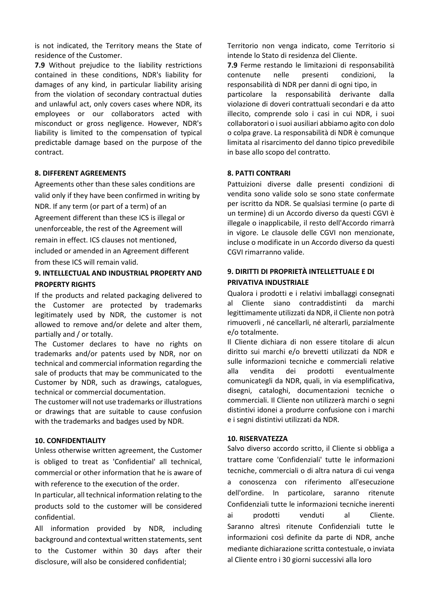is not indicated, the Territory means the State of residence of the Customer.

**7.9** Without prejudice to the liability restrictions contained in these conditions, NDR's liability for damages of any kind, in particular liability arising from the violation of secondary contractual duties and unlawful act, only covers cases where NDR, its employees or our collaborators acted with misconduct or gross negligence. However, NDR's liability is limited to the compensation of typical predictable damage based on the purpose of the contract.

#### **8. DIFFERENT AGREEMENTS**

Agreements other than these sales conditions are valid only if they have been confirmed in writing by NDR. If any term (or part of a term) of an Agreement different than these ICS is illegal or unenforceable, the rest of the Agreement will remain in effect. ICS clauses not mentioned, included or amended in an Agreement different from these ICS will remain valid.

# **9. INTELLECTUAL AND INDUSTRIAL PROPERTY AND PROPERTY RIGHTS**

If the products and related packaging delivered to the Customer are protected by trademarks legitimately used by NDR, the customer is not allowed to remove and/or delete and alter them, partially and / or totally.

The Customer declares to have no rights on trademarks and/or patents used by NDR, nor on technical and commercial information regarding the sale of products that may be communicated to the Customer by NDR, such as drawings, catalogues, technical or commercial documentation.

The customer will not use trademarks or illustrations or drawings that are suitable to cause confusion with the trademarks and badges used by NDR.

#### **10. CONFIDENTIALITY**

Unless otherwise written agreement, the Customer is obliged to treat as 'Confidential' all technical, commercial or other information that he is aware of with reference to the execution of the order.

In particular, all technical information relating to the products sold to the customer will be considered confidential.

All information provided by NDR, including background and contextual written statements, sent to the Customer within 30 days after their disclosure, will also be considered confidential;

Territorio non venga indicato, come Territorio si intende lo Stato di residenza del Cliente.

**7.9** Ferme restando le limitazioni di responsabilità contenute nelle presenti condizioni, la responsabilità di NDR per danni di ogni tipo, in particolare la responsabilità derivante dalla violazione di doveri contrattuali secondari e da atto illecito, comprende solo i casi in cui NDR, i suoi collaboratori o i suoi ausiliari abbiamo agito con dolo o colpa grave. La responsabilità di NDR è comunque limitata al risarcimento del danno tipico prevedibile in base allo scopo del contratto.

# **8. PATTI CONTRARI**

Pattuizioni diverse dalle presenti condizioni di vendita sono valide solo se sono state confermate per iscritto da NDR. Se qualsiasi termine (o parte di un termine) di un Accordo diverso da questi CGVI è illegale o inapplicabile, il resto dell'Accordo rimarrà in vigore. Le clausole delle CGVI non menzionate, incluse o modificate in un Accordo diverso da questi CGVI rimarranno valide.

# **9. DIRITTI DI PROPRIETÀ INTELLETTUALE E DI PRIVATIVA INDUSTRIALE**

Qualora i prodotti e i relativi imballaggi consegnati al Cliente siano contraddistinti da marchi legittimamente utilizzati da NDR, il Cliente non potrà rimuoverli , né cancellarli, né alterarli, parzialmente e/o totalmente.

Il Cliente dichiara di non essere titolare di alcun diritto sui marchi e/o brevetti utilizzati da NDR e sulle informazioni tecniche e commerciali relative alla vendita dei prodotti eventualmente comunicategli da NDR, quali, in via esemplificativa, disegni, cataloghi, documentazioni tecniche o commerciali. Il Cliente non utilizzerà marchi o segni distintivi idonei a produrre confusione con i marchi e i segni distintivi utilizzati da NDR.

#### **10. RISERVATEZZA**

Salvo diverso accordo scritto, il Cliente si obbliga a trattare come 'Confidenziali' tutte le informazioni tecniche, commerciali o di altra natura di cui venga a conoscenza con riferimento all'esecuzione dell'ordine. In particolare, saranno ritenute Confidenziali tutte le informazioni tecniche inerenti ai prodotti venduti al Cliente. Saranno altresì ritenute Confidenziali tutte le informazioni così definite da parte di NDR, anche mediante dichiarazione scritta contestuale, o inviata al Cliente entro i 30 giorni successivi alla loro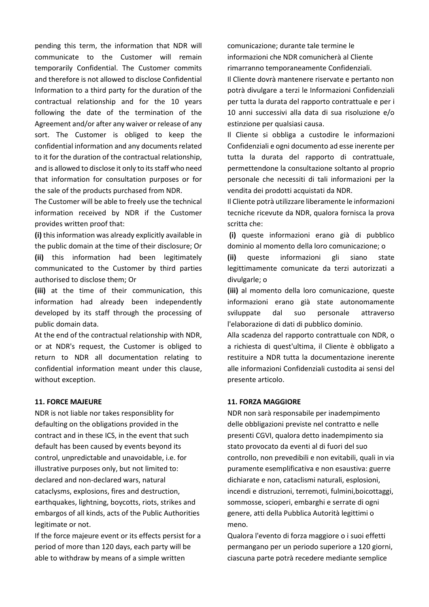pending this term, the information that NDR will communicate to the Customer will remain temporarily Confidential. The Customer commits and therefore is not allowed to disclose Confidential Information to a third party for the duration of the contractual relationship and for the 10 years following the date of the termination of the Agreement and/or after any waiver or release of any sort. The Customer is obliged to keep the confidential information and any documents related to it for the duration of the contractual relationship, and is allowed to disclose it only to its staff who need that information for consultation purposes or for the sale of the products purchased from NDR.

The Customer will be able to freely use the technical information received by NDR if the Customer provides written proof that:

**(i)** this information was already explicitly available in the public domain at the time of their disclosure; Or **(ii)** this information had been legitimately communicated to the Customer by third parties authorised to disclose them; Or

**(iii)** at the time of their communication, this information had already been independently developed by its staff through the processing of public domain data.

At the end of the contractual relationship with NDR, or at NDR's request, the Customer is obliged to return to NDR all documentation relating to confidential information meant under this clause, without exception.

#### **11. FORCE MAJEURE**

NDR is not liable nor takes responsiblity for defaulting on the obligations provided in the contract and in these ICS, in the event that such default has been caused by events beyond its control, unpredictable and unavoidable, i.e. for illustrative purposes only, but not limited to: declared and non-declared wars, natural cataclysms, explosions, fires and destruction, earthquakes, lightning, boycotts, riots, strikes and embargos of all kinds, acts of the Public Authorities legitimate or not.

If the force majeure event or its effects persist for a period of more than 120 days, each party will be able to withdraw by means of a simple written

comunicazione; durante tale termine le informazioni che NDR comunicherà al Cliente rimarranno temporaneamente Confidenziali.

Il Cliente dovrà mantenere riservate e pertanto non potrà divulgare a terzi le Informazioni Confidenziali per tutta la durata del rapporto contrattuale e per i 10 anni successivi alla data di sua risoluzione e/o estinzione per qualsiasi causa.

Il Cliente si obbliga a custodire le informazioni Confidenziali e ogni documento ad esse inerente per tutta la durata del rapporto di contrattuale, permettendone la consultazione soltanto al proprio personale che necessiti di tali informazioni per la vendita dei prodotti acquistati da NDR.

Il Cliente potrà utilizzare liberamente le informazioni tecniche ricevute da NDR, qualora fornisca la prova scritta che:

 **(i)** queste informazioni erano già di pubblico dominio al momento della loro comunicazione; o

**(ii)** queste informazioni gli siano state legittimamente comunicate da terzi autorizzati a divulgarle; o

**(iii)** al momento della loro comunicazione, queste informazioni erano già state autonomamente sviluppate dal suo personale attraverso l'elaborazione di dati di pubblico dominio.

Alla scadenza del rapporto contrattuale con NDR, o a richiesta di quest'ultima, il Cliente è obbligato a restituire a NDR tutta la documentazione inerente alle informazioni Confidenziali custodita ai sensi del presente articolo.

#### **11. FORZA MAGGIORE**

NDR non sarà responsabile per inadempimento delle obbligazioni previste nel contratto e nelle presenti CGVI, qualora detto inadempimento sia stato provocato da eventi al di fuori del suo controllo, non prevedibili e non evitabili, quali in via puramente esemplificativa e non esaustiva: guerre dichiarate e non, cataclismi naturali, esplosioni, incendi e distruzioni, terremoti, fulmini,boicottaggi, sommosse, scioperi, embarghi e serrate di ogni genere, atti della Pubblica Autorità legittimi o meno.

Qualora l'evento di forza maggiore o i suoi effetti permangano per un periodo superiore a 120 giorni, ciascuna parte potrà recedere mediante semplice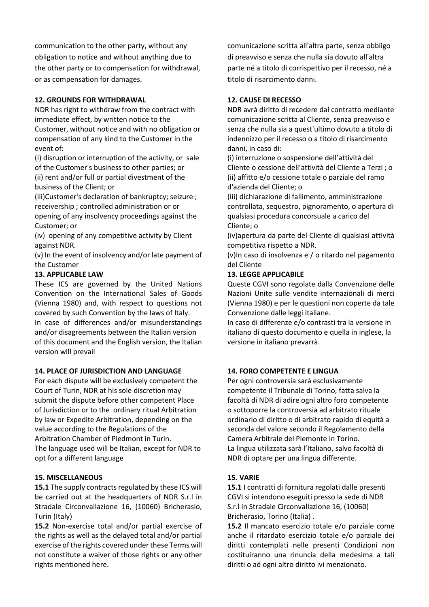communication to the other party, without any obligation to notice and without anything due to the other party or to compensation for withdrawal, or as compensation for damages.

# **12. GROUNDS FOR WITHDRAWAL**

NDR has right to withdraw from the contract with immediate effect, by written notice to the Customer, without notice and with no obligation or compensation of any kind to the Customer in the event of:

(i) disruption or interruption of the activity, or sale of the Customer's business to other parties; or (ii) rent and/or full or partial divestment of the business of the Client; or

(iii)Customer's declaration of bankruptcy; seizure ; receivership ; controlled administration or or

opening of any insolvency proceedings against the Customer; or

(iv) opening of any competitive activity by Client against NDR.

(v) In the event of insolvency and/or late payment of the Customer

# **13. APPLICABLE LAW**

version will prevail

These ICS are governed by the United Nations Convention on the International Sales of Goods (Vienna 1980) and, with respect to questions not covered by such Convention by the laws of Italy. In case of differences and/or misunderstandings and/or disagreements between the Italian version of this document and the English version, the Italian

#### **14. PLACE OF JURISDICTION AND LANGUAGE**

For each dispute will be exclusively competent the Court of Turin, NDR at his sole discretion may submit the dispute before other competent Place of Jurisdiction or to the ordinary ritual Arbitration by law or Expedite Arbitration, depending on the value according to the Regulations of the Arbitration Chamber of Piedmont in Turin. The language used will be Italian, except for NDR to opt for a different language

#### **15. MISCELLANEOUS**

**15.1** The supply contracts regulated by these ICS will be carried out at the headquarters of NDR S.r.l in Stradale Circonvallazione 16, (10060) Bricherasio, Turin (Italy)

**15.2** Non-exercise total and/or partial exercise of the rights as well as the delayed total and/or partial exercise of the rights covered under these Terms will not constitute a waiver of those rights or any other rights mentioned here.

comunicazione scritta all'altra parte, senza obbligo di preavviso e senza che nulla sia dovuto all'altra parte né a titolo di corrispettivo per il recesso, né a titolo di risarcimento danni.

# **12. CAUSE DI RECESSO**

NDR avrà diritto di recedere dal contratto mediante comunicazione scritta al Cliente, senza preavviso e senza che nulla sia a quest'ultimo dovuto a titolo di indennizzo per il recesso o a titolo di risarcimento danni, in caso di:

(i) interruzione o sospensione dell'attività del Cliente o cessione dell'attività del Cliente a Terzi ; o (ii) affitto e/o cessione totale o parziale del ramo d'azienda del Cliente; o

(iii) dichiarazione di fallimento, amministrazione controllata, sequestro, pignoramento, o apertura di qualsiasi procedura concorsuale a carico del Cliente; o

(iv)apertura da parte del Cliente di qualsiasi attività competitiva rispetto a NDR.

(v)In caso di insolvenza e / o ritardo nel pagamento del Cliente

# **13. LEGGE APPLICABILE**

Queste CGVI sono regolate dalla Convenzione delle Nazioni Unite sulle vendite internazionali di merci (Vienna 1980) e per le questioni non coperte da tale Convenzione dalle leggi italiane.

In caso di differenze e/o contrasti tra la versione in italiano di questo documento e quella in inglese, la versione in italiano prevarrà.

# **14. FORO COMPETENTE E LINGUA**

Per ogni controversia sarà esclusivamente competente il Tribunale di Torino, fatta salva la facoltà di NDR di adire ogni altro foro competente o sottoporre la controversia ad arbitrato rituale ordinario di diritto o di arbitrato rapido di equità a seconda del valore secondo il Regolamento della Camera Arbitrale del Piemonte in Torino. La lingua utilizzata sarà l'Italiano, salvo facoltà di NDR di optare per una lingua differente.

#### **15. VARIE**

**15.1** I contratti di fornitura regolati dalle presenti CGVI si intendono eseguiti presso la sede di NDR S.r.l in Stradale Circonvallazione 16, (10060) Bricherasio, Torino (Italia) .

**15.2** Il mancato esercizio totale e/o parziale come anche il ritardato esercizio totale e/o parziale dei diritti contemplati nelle presenti Condizioni non costituiranno una rinuncia della medesima a tali diritti o ad ogni altro diritto ivi menzionato.